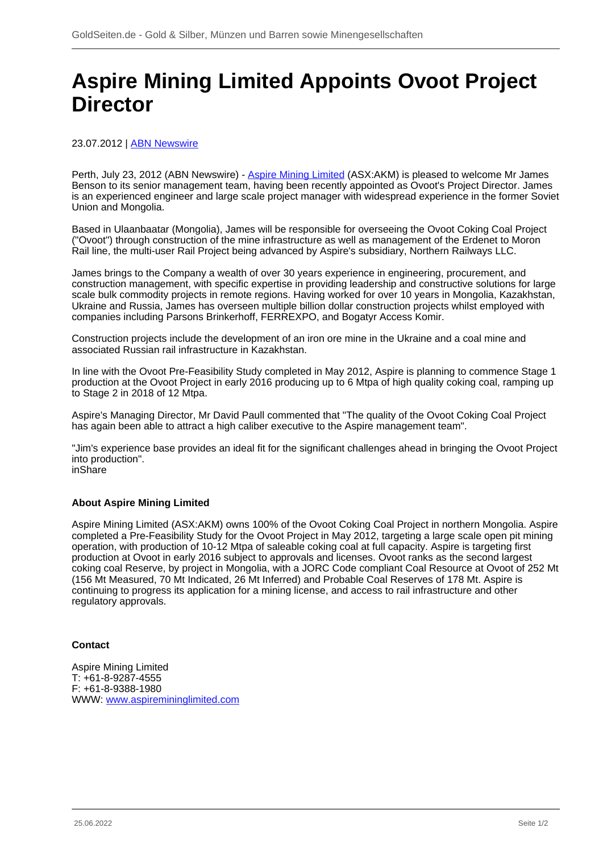## **Aspire Mining Limited Appoints Ovoot Project Director**

## 23.07.2012 | **ABN Newswire**

Perth, July 23, 2012 (ABN Newswire) - [Aspire Mining Limited](/minen/1673--Aspire-Mining-Ltd) (ASX:AKM) is pleased to welcome Mr James Benson to its senior management team, having been recently appointed as Ovoot's Project Director. James is an experienced engineer and large scale project manager with widespread experience in the former Soviet Union and Mongolia.

Based in Ulaanbaatar (Mongolia), James will be responsible for overseeing the Ovoot Coking Coal Project ("Ovoot") through construction of the mine infrastructure as well as management of the Erdenet to Moron Rail line, the multi-user Rail Project being advanced by Aspire's subsidiary, Northern Railways LLC.

James brings to the Company a wealth of over 30 years experience in engineering, procurement, and construction management, with specific expertise in providing leadership and constructive solutions for large scale bulk commodity projects in remote regions. Having worked for over 10 years in Mongolia, Kazakhstan, Ukraine and Russia, James has overseen multiple billion dollar construction projects whilst employed with companies including Parsons Brinkerhoff, FERREXPO, and Bogatyr Access Komir.

Construction projects include the development of an iron ore mine in the Ukraine and a coal mine and associated Russian rail infrastructure in Kazakhstan.

In line with the Ovoot Pre-Feasibility Study completed in May 2012, Aspire is planning to commence Stage 1 production at the Ovoot Project in early 2016 producing up to 6 Mtpa of high quality coking coal, ramping up to Stage 2 in 2018 of 12 Mtpa.

Aspire's Managing Director, Mr David Paull commented that "The quality of the Ovoot Coking Coal Project has again been able to attract a high caliber executive to the Aspire management team".

"Jim's experience base provides an ideal fit for the significant challenges ahead in bringing the Ovoot Project into production". inShare

## **About Aspire Mining Limited**

Aspire Mining Limited (ASX:AKM) owns 100% of the Ovoot Coking Coal Project in northern Mongolia. Aspire completed a Pre-Feasibility Study for the Ovoot Project in May 2012, targeting a large scale open pit mining operation, with production of 10-12 Mtpa of saleable coking coal at full capacity. Aspire is targeting first production at Ovoot in early 2016 subject to approvals and licenses. Ovoot ranks as the second largest coking coal Reserve, by project in Mongolia, with a JORC Code compliant Coal Resource at Ovoot of 252 Mt (156 Mt Measured, 70 Mt Indicated, 26 Mt Inferred) and Probable Coal Reserves of 178 Mt. Aspire is continuing to progress its application for a mining license, and access to rail infrastructure and other regulatory approvals.

## **Contact**

Aspire Mining Limited T: +61-8-9287-4555 F: +61-8-9388-1980 WWW: [www.aspiremininglimited.com](https://www.goldseiten.de/exit.php?url=http%3A%2F%2Fwww.aspiremininglimited.com)